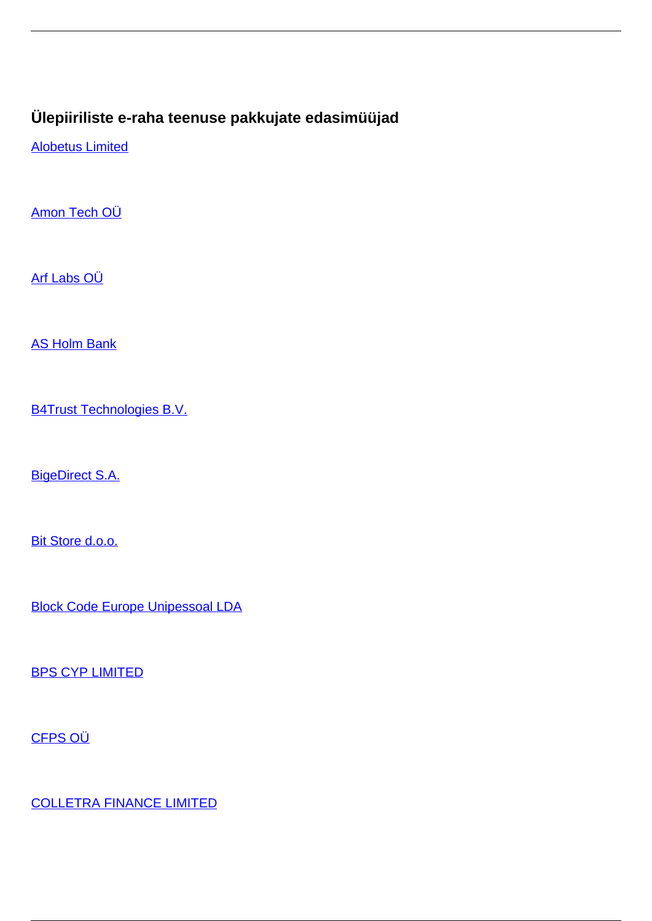## **Ülepiiriliste e-raha teenuse pakkujate edasimüüjad**

[Alobetus Limited](/et/makseteenused/makseteenused/e-raha-asutused/ulepiiriliste-e-raha-teenuse-pakkujate-edasimuujad/alobetus-limited)

[Amon Tech OÜ](/et/makseteenused/makseteenused/e-raha-asutused/ulepiiriliste-e-raha-teenuse-pakkujate-edasimuujad/amon-tech-ou)

[Arf Labs OÜ](/et/makseteenused/makseteenused/e-raha-asutused/ulepiiriliste-e-raha-teenuse-pakkujate-edasimuujad/arf-labs-ou)

[AS Holm Bank](/et/makseteenused/makseteenused/e-raha-asutused/ulepiiriliste-e-raha-teenuse-pakkujate-edasimuujad/holm-bank)

[B4Trust Technologies B.V.](/et/makseteenused/makseteenused/e-raha-asutused/ulepiiriliste-e-raha-teenuse-pakkujate-edasimuujad/b4trust-technologies-bv)

[BigeDirect S.A.](/et/makseteenused/makseteenused/e-raha-asutused/ulepiiriliste-e-raha-teenuse-pakkujate-edasimuujad/bigedirect-sa)

[Bit Store d.o.o.](/et/makseteenused/makseteenused/e-raha-asutused/ulepiiriliste-e-raha-teenuse-pakkujate-edasimuujad/bit-store-doo)

[Block Code Europe Unipessoal LDA](/et/makseteenused/makseteenused/e-raha-asutused/ulepiiriliste-e-raha-teenuse-pakkujate-edasimuujad/block-code-europe-unipessoal-lda)

[BPS CYP LIMITED](/et/makseteenused/makseteenused/e-raha-asutused/ulepiiriliste-e-raha-teenuse-pakkujate-edasimuujad/bps-cyp-limited)

[CFPS OÜ](/et/makseteenused/makseteenused/e-raha-asutused/ulepiiriliste-e-raha-teenuse-pakkujate-edasimuujad/cfps-ou)

[COLLETRA FINANCE LIMITED](/et/makseteenused/makseteenused/e-raha-asutused/ulepiiriliste-e-raha-teenuse-pakkujate-edasimuujad/colletra-finance-limited)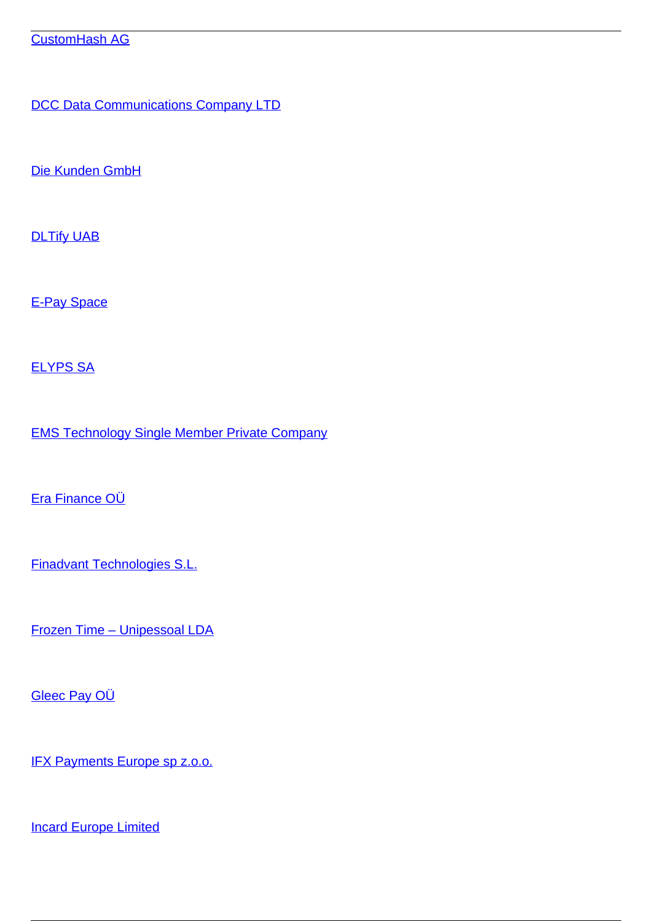[DCC Data Communications Company LTD](/et/makseteenused/makseteenused/e-raha-asutused/ulepiiriliste-e-raha-teenuse-pakkujate-edasimuujad/dcc-data-communications-company-ltd)

[Die Kunden GmbH](/et/makseteenused/makseteenused/e-raha-asutused/ulepiiriliste-e-raha-teenuse-pakkujate-edasimuujad/die-kunden-gmbh)

**[DLTify UAB](/et/makseteenused/makseteenused/e-raha-asutused/ulepiiriliste-e-raha-teenuse-pakkujate-edasimuujad/dltify-uab)** 

[E-Pay Space](/et/makseteenused/makseteenused/e-raha-asutused/ulepiiriliste-e-raha-teenuse-pakkujate-edasimuujad/e-pay-space)

[ELYPS SA](/et/makseteenused/makseteenused/e-raha-asutused/ulepiiriliste-e-raha-teenuse-pakkujate-edasimuujad/elyps-sa)

[EMS Technology Single Member Private Company](/et/makseteenused/makseteenused/e-raha-asutused/ulepiiriliste-e-raha-teenuse-pakkujate-edasimuujad/ems-technology-single-member-private-company)

[Era Finance OÜ](/et/makseteenused/makseteenused/e-raha-asutused/ulepiiriliste-e-raha-teenuse-pakkujate-edasimuujad/era-finance-ou)

[Finadvant Technologies S.L.](/et/makseteenused/makseteenused/e-raha-asutused/ulepiiriliste-e-raha-teenuse-pakkujate-edasimuujad/finadvant-technologies-sl)

[Frozen Time – Unipessoal LDA](/et/makseteenused/makseteenused/e-raha-asutused/ulepiiriliste-e-raha-teenuse-pakkujate-edasimuujad/frozen-time-unipessoal-lda)

[Gleec Pay OÜ](/et/makseteenused/makseteenused/e-raha-asutused/ulepiiriliste-e-raha-teenuse-pakkujate-edasimuujad/gleec-pay-ou)

[IFX Payments Europe sp z.o.o.](/et/makseteenused/makseteenused/e-raha-asutused/ulepiiriliste-e-raha-teenuse-pakkujate-edasimuujad/ifx-payments-europe-sp-zoo)

[Incard Europe Limited](/et/makseteenused/makseteenused/e-raha-asutused/ulepiiriliste-e-raha-teenuse-pakkujate-edasimuujad/incard-europe-limited)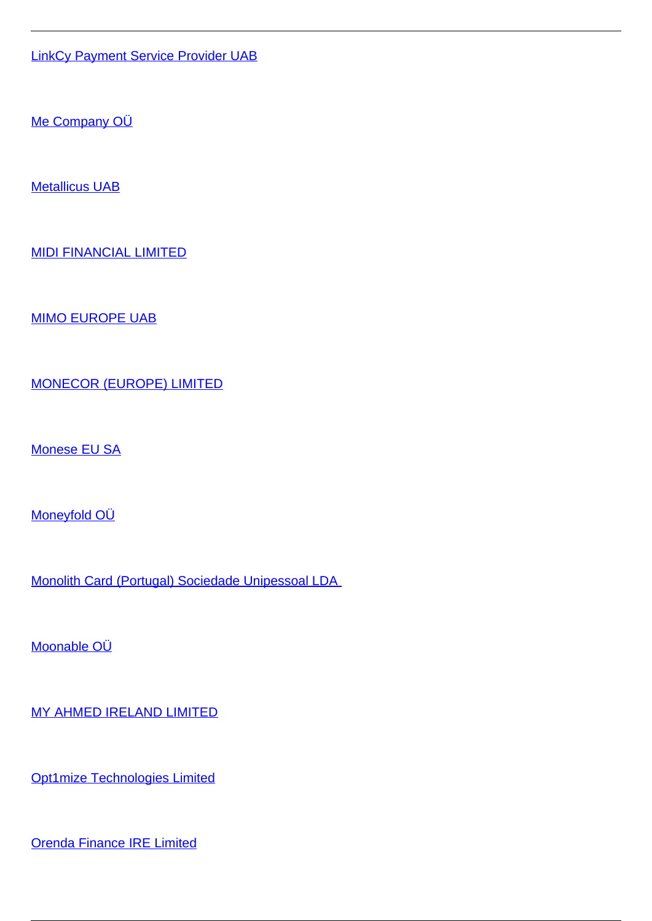[LinkCy Payment Service Provider UAB](/et/makseteenused/makseteenused/e-raha-asutused/ulepiiriliste-e-raha-teenuse-pakkujate-edasimuujad/linkcy-payment-service-provider-uab)

[Me Company OÜ](/et/makseteenused/makseteenused/e-raha-asutused/ulepiiriliste-e-raha-teenuse-pakkujate-edasimuujad/me-company-ou)

[Metallicus UAB](/et/makseteenused/makseteenused/e-raha-asutused/ulepiiriliste-e-raha-teenuse-pakkujate-edasimuujad/metallicus-uab)

[MIDI FINANCIAL LIMITED](/et/makseteenused/makseteenused/e-raha-asutused/ulepiiriliste-e-raha-teenuse-pakkujate-edasimuujad/midi-financial-limited)

[MIMO EUROPE UAB](/et/makseteenused/makseteenused/e-raha-asutused/ulepiiriliste-e-raha-teenuse-pakkujate-edasimuujad/mimo-europe-uab)

[MONECOR \(EUROPE\) LIMITED](/et/makseteenused/makseteenused/e-raha-asutused/ulepiiriliste-e-raha-teenuse-pakkujate-edasimuujad/monecor-europe-limited)

[Monese EU SA](/et/makseteenused/makseteenused/e-raha-asutused/ulepiiriliste-e-raha-teenuse-pakkujate-edasimuujad/monese-eu-sa)

[Moneyfold OÜ](/et/makseteenused/makseteenused/e-raha-asutused/ulepiiriliste-e-raha-teenuse-pakkujate-edasimuujad/moneyfold-ou)

[Monolith Card \(Portugal\) Sociedade Unipessoal LDA](/et/makseteenused/makseteenused/e-raha-asutused/ulepiiriliste-e-raha-teenuse-pakkujate-edasimuujad/monolith-card-portugal-sociedade-unipessoal-lda) 

[Moonable OÜ](/et/makseteenused/makseteenused/e-raha-asutused/ulepiiriliste-e-raha-teenuse-pakkujate-edasimuujad/moonable-ou)

[MY AHMED IRELAND LIMITED](/et/makseteenused/makseteenused/e-raha-asutused/ulepiiriliste-e-raha-teenuse-pakkujate-edasimuujad/my-ahmed-ireland-limited)

[Opt1mize Technologies Limited](/et/makseteenused/makseteenused/e-raha-asutused/ulepiiriliste-e-raha-teenuse-pakkujate-edasimuujad/opt1mize-technologies-limited)

[Orenda Finance IRE Limited](/et/makseteenused/makseteenused/e-raha-asutused/ulepiiriliste-e-raha-teenuse-pakkujate-edasimuujad/orenda-finance-ire-limited)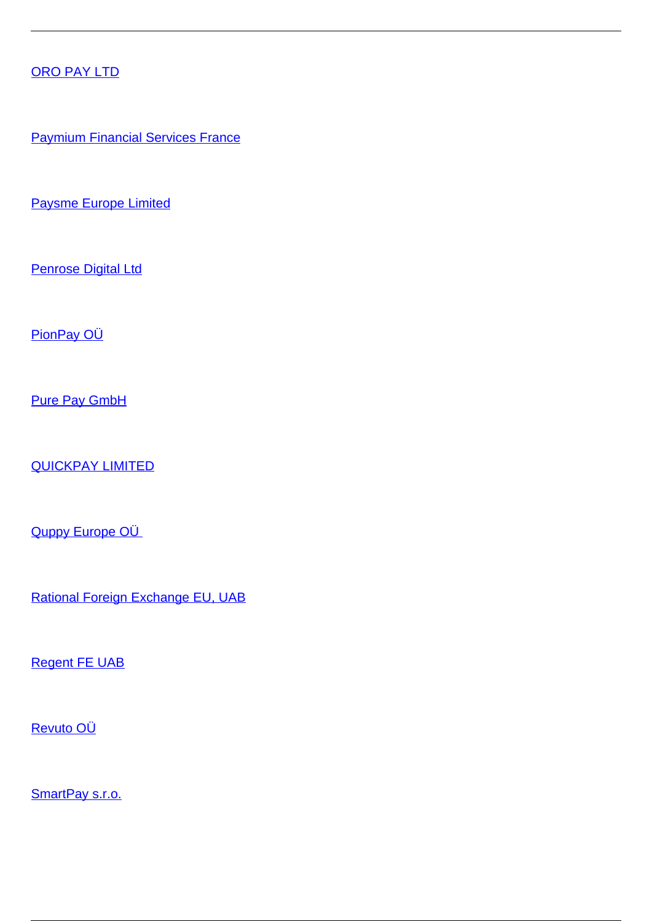## [ORO PAY LTD](/et/makseteenused/makseteenused/e-raha-asutused/ulepiiriliste-e-raha-teenuse-pakkujate-edasimuujad/oro-pay-ltd)

**[Paymium Financial Services France](/et/makseteenused/makseteenused/e-raha-asutused/ulepiiriliste-e-raha-teenuse-pakkujate-edasimuujad/paymium-financial-services-france)** 

[Paysme Europe Limited](/et/makseteenused/makseteenused/e-raha-asutused/ulepiiriliste-e-raha-teenuse-pakkujate-edasimuujad/paysme-europe-limited)

**[Penrose Digital Ltd](/et/makseteenused/makseteenused/e-raha-asutused/ulepiiriliste-e-raha-teenuse-pakkujate-edasimuujad/penrose-digital-ltd)** 

[PionPay OÜ](/et/makseteenused/makseteenused/e-raha-asutused/ulepiiriliste-e-raha-teenuse-pakkujate-edasimuujad/pionpay-ou)

[Pure Pay GmbH](/et/makseteenused/makseteenused/e-raha-asutused/ulepiiriliste-e-raha-teenuse-pakkujate-edasimuujad/pure-pay-gmbh)

[QUICKPAY LIMITED](/et/makseteenused/makseteenused/e-raha-asutused/ulepiiriliste-e-raha-teenuse-pakkujate-edasimuujad/quickpay-limited)

Quppy Europe OÜ

[Rational Foreign Exchange EU, UAB](/et/makseteenused/makseteenused/e-raha-asutused/ulepiiriliste-e-raha-teenuse-pakkujate-edasimuujad/rational-foreign-exchange-eu-uab)

[Regent FE UAB](/et/makseteenused/makseteenused/e-raha-asutused/ulepiiriliste-e-raha-teenuse-pakkujate-edasimuujad/regent-fe-uab)

[Revuto OÜ](/et/makseteenused/makseteenused/e-raha-asutused/ulepiiriliste-e-raha-teenuse-pakkujate-edasimuujad/revuto-ou)

[SmartPay s.r.o.](/et/makseteenused/makseteenused/e-raha-asutused/ulepiiriliste-e-raha-teenuse-pakkujate-edasimuujad/smartpay-sro)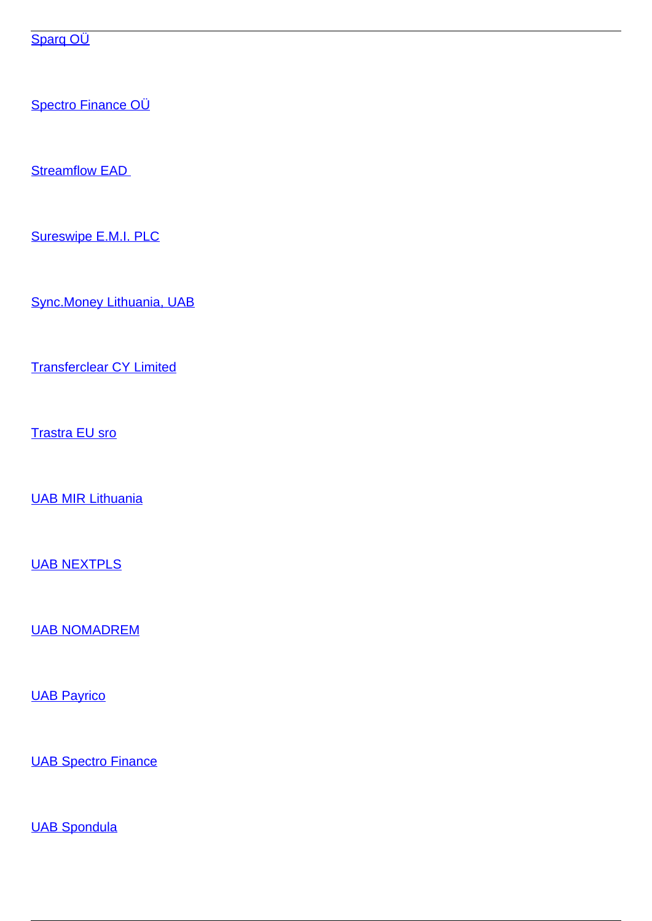Sparq OÜ

Spectro Finance OÜ

**Streamflow EAD** 

Sureswipe E.M.I. PLC

**Sync.Money Lithuania, UAB** 

**Transferclear CY Limited** 

**Trastra EU sro** 

**UAB MIR Lithuania** 

**UAB NEXTPLS** 

**UAB NOMADREM** 

**UAB Payrico** 

**UAB Spectro Finance** 

**UAB Spondula**